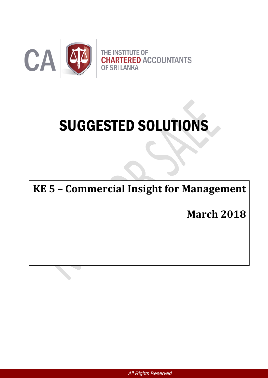

# SUGGESTED SOLUTIONS

**KE 5 – Commercial Insight for Management**

**March 2018**

*All Rights Reserved*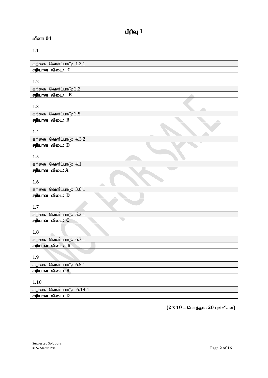## $\mathbf{u}$ ரிவு  $\mathbf{1}$

## வினா  $01$

## 1.1

| கற்கை<br>வெளிப்பாடு:<br>1.4.1 |  |
|-------------------------------|--|
| ரியான<br>一定序<br>ഖിത∟.         |  |

## 1.2

| n n<br>கா<br>ணச<br>'வெளிப்பா<br><u>L.L</u> |  |
|--------------------------------------------|--|
| பான<br>ÆMI.<br>ഖഌட<br>D                    |  |

## 1.3

| ---                      |  |  |  |
|--------------------------|--|--|--|
| வெளிப்பாடு: 2.5<br>கற்கை |  |  |  |
| சரியான<br>விடை: B        |  |  |  |
|                          |  |  |  |

## 1.4

| கற்கை வெளிப்பாடு: 4.3.2 |  |
|-------------------------|--|
| சரியான விடை: D          |  |

## 1.5

| கற்கை<br>4.1<br>⊌வள்⊔பா |  |
|-------------------------|--|
| சரியான<br>ഖബല<br>.: A   |  |
|                         |  |

## 1.6

| ---                           |  |
|-------------------------------|--|
| கற்கை<br>வெளிப்பாடு:<br>3.0.1 |  |
| சரியான<br>விடை:<br>ш          |  |

## 1.7

| கற்கை        | -<br>n 1<br>வெளிப்பாடு:<br>ـ . ن . ب |  |
|--------------|--------------------------------------|--|
| சர்iu<br>பான | ் விடை.                              |  |

## 1.8

| கற்கை<br>வெளிப்பாடு<br>0.7.1 |  |
|------------------------------|--|
| சரியான<br>в<br>விடை:         |  |

## 1.9

| கற்கை<br>ு அவுபுப்பட்ட.<br>0.5.1 |  |
|----------------------------------|--|
| பான<br>விடை:<br>mп<br>۱Ь         |  |

## 1.10

| கர                           | $\Lambda$ |
|------------------------------|-----------|
| ாகை                          | . .       |
| ூவளிப∟.                      | $\sim$    |
|                              | 1.1       |
| re d<br>யான<br>ഖഞ<br>ш<br>-- |           |

## $(2 \times 10 =$  மொத்தம்: 20 புள்ளிகள்)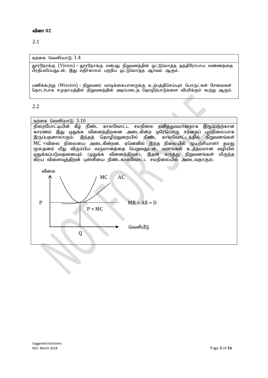2.1

கற்கை வெளிப்பா $f$ :  $1.4$ 

காரநோக்கு (Vision) – தூரநோக்கு என்பது நிறுவனத்தின் ஒட்டுமொத்த தந்திரோபாய எண்ணத்தை பிரதிபலிப்பதுடன், இது எதிர்காலம் பற்றிய ஒட்டுமொத்த ஆர்வம் ஆகும்.

பணிக்கூற்று (Mission) – நிறுவனம் வாடிக்கையாளருக்கு உற்பத்திசெய்யும் பொருட்கள் சேவைகள் தொடா்பாக சமுதாயத்தில் நிறுவனத்தின் அடிப்படைத் தொழிற்பாடுகளை விபரிக்கும் கூற்று ஆகும்.

2.2

கற்கை வெளிப்பாடு:  $3.10$ 

நிறைபோட்டியின் கீழ் நீண்ட காலவோட்ட சமநிலை தனித்துவமானதாக இருப்பதற்கான காரணம் இது ஒதுக்க வினைத்திறனை அடைகின்ற ஒரேயொரு சந்தைப் புறநிலையாக இருப்பதனாலாகும். இந்தத் தொழிற்துறையில் நீண்ட காலவோட்டத்தில் நிறுவனங்கள் MC =விலை நிலையை அடைகின்றன. ஏனெனில் இந்த நிலையில் முயற்சியாளர் தமது மூலதனம் மீது விரும்பிய வருமானத்தை பெறுவதுடன், வளங்கள் உத்தமமான வழியில்| ஒதுக்கப்படுவதனையும் (ஒதுக்க வினைத்திறன்), இதன் கருத்து நிறுவனங்கள் மிகுந்த**்** ்கிரய விளைவுத்திறன் புள்ளியை நீண்டகாலவோட்ட சமநிலையில் அடைவதாகும்;

 $\triangle$ 

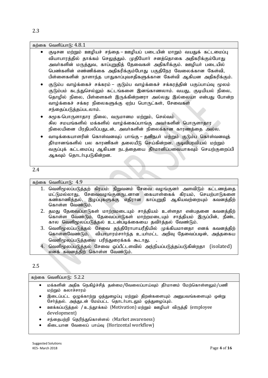#### கற்கை வெளிப்பா $f<sub>6</sub>: 4.8.1$

| •   குடிசன மற்றும்  ஊழியச்  சந்தை – ஊழியப்  படையின்  மாறும்  வயதுக்  கட்டமைப்பு |
|---------------------------------------------------------------------------------|
| வியாபாரத்தில் தாக்கம் செலுத்தும். முதியோா் சனத்தொகை அதிகரிக்கும்போது            |
| அவா்களின் மருத்துவ, காப்புறுதித் தேவைகள் அதிகாிக்கும். ஊழியா் படையில்           |
| பெண்களின் எண்ணிக்கை அதிகரிக்கும்போது பகுதிநேர வேலைக்கான கேள்வி,                 |
| பிள்ளைகளின் நாளாந்த பாதுகாப்புவசதிகளுக்கான கேள்வி ஆகியன அதிகரிக்கும்.           |

குடும்ப வாழ்க்கைச் சக்கரம் – குடும்ப வாழ்க்கைச் சக்கரத்தின் பகுப்பாய்வு மூலம் குடும்பம் கடந்துசெல்லும் கட்டங்களை இனங்காணலாம். வயது, குடியியல் நிலை, தொழில் நிலை, பிள்ளைகள் இருக்கின்றனரா அல்லது இல்லையா என்பது போன்ற வாழ்க்கைச் சக்கர நிலைகளுக்கு ஏற்ப பொருட்கள், சேவைகள் சந்தைப்படுத்தப்படலாம்.

- சுமூக-பொருளாதார நிலை, வருமானம மற்றும், செல்வம் சில சமயங்களில் மக்களில் வாழ்க்கைப்பாங்கு அவர்களின் பொருளாதார நிலையினை பிரதிபலிப்பதுடன், அவர்களின் நிலைக்கான காரணத்தை அல்ல.
- வாடிக்கையாளரின் கொள்வனவுப் பாங்கு தனிநபா் மற்றும் குடும்ப கொள்வனவுத் தீர்மானங்களில் பல காரணிகள் தலையீடு செய்கின்றன. குடிவிபரவியல் மற்றும் வகுப்புக் கட்டமைப்பு ஆகியன நடத்தையை தீர்மானிப்பவையாகவும் செயற்குறைப்பி ஆகவும் தொடர்புபடுகின்றன.

#### 2.4

கற்கை வெளிப்பா $f$ :  $4.9$ 

- 1. வெளிமூலப்படுத்தற் கிரயம்: நிறுவனம் சேவை வழங்குனர் அளவிடும் கட்டணத்தை மட்டுமல்லாது, சேவைவழங்குனருடனான கையாள்கைக் கிரயம், செயற்பாடுகளை கண்காணித்தல், இழப்புகளுக்கு எதிரான காப்புறுதி ஆகியவற்றையும் கவனத்திற் கொள்ள வேண்டும்.
- 2. தமது தேவைப்பாடுகள் மாற்றமடையும் சாத்தியம் உள்ளதா என்பதனை கவனத்திற் கொள்ள வேண்டும். தேவைப்பாடுகள் மாற்றமடையும் சாத்தியம் இருப்பின், நீண்ட கால வெளிமூலப்படுத்தல் உடன்படிக்கையை தவிர்த்தல் வேண்டும்.
- 3. வெளிமூலப்படுத்தல் சேவை தந்திரோபாயரீதியில் முக்கியமானதா எனக் கவனத்திற் கொள்ளவேண்டும். வியாபாரம்சார்ந்த உயர்மட்ட அறிவு தேவைப்படின், அத்தகைய வெளிமூலப்படுத்தலை பரிந்துரைக்கக் கூடாது.
- 4. வெளிமூலப்படுத்தல் சேவை ஒப்பீட்டளவில் அந்நியப்படுத்தப்படுகின்றதா (isolated) எனக் கவனத்திற் கொள்ள வேண்டும்.

#### 2.5

|           | கற்கை வெளிப்பாடு: 5.2.2                                                                                                                |
|-----------|----------------------------------------------------------------------------------------------------------------------------------------|
| $\bullet$ | மக்களின் அதிக நெகிழ்ச்சித் தன்மை/வேலைப்பாய்வும் தீா்மானம் மேற்கொள்ளலும்/பணி<br>மற்றும் கலாச்சாரம்                                      |
| $\bullet$ | இடைப்பட்ட ஒழுக்காற்று ஒத்துழைப்பு மற்றும் திறன்களையும் அனுபவங்களையும் ஒன்று<br>சோ்த்தல். அத்துடன் மேம்பட்ட தொடா்பாடலும் ஒத்துழைப்பும். |
| $\bullet$ | ஊக்கப்படுத்தல் / உந்தூக்கம் (Motivation) மற்றும் ஊழியர் விருத்தி (employee<br>development)                                             |
| ٠         | சந்தைபற்றி தெரிந்துகொள்ளல் (Market awareness)                                                                                          |
|           | கிடையான வேலைப் பாய்வு (Horizontal workflow)                                                                                            |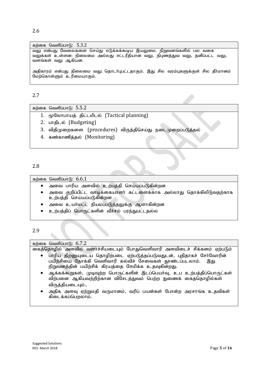கற்கை வெளிப்பாடு:  $5.3.2$ வலு என்பது வேலைகளை செய்து எடுக்கக்கூடிய இயலுமை. நிறுவனங்களில் பல வகை வலுக்கள் உள்ளன: நிலைமை அல்லது சட்டரீதியான வலு, நிபுணத்துவ வலு, தனிப்பட்ட வலு, வளங்கள் வலு ஆகியன.

அதிகாரம் என்பது நிலைமை வலு தொடா்புபட்டதாகும். இது சில வரம்புகளுக்குள் சில தீா்மானம் மேற்கொள்ளும் உரிமையாகும்.

## 2.7

கற்கை வெளிப்பாடு:  $5.5.2$ 

- 1. மூலோபாயத் திட்டமிடல் (Tactical planning)
- 2. பாதிடல் (Budgeting)
- 3. விதிமுறைகளை (procedures) விருத்திசெய்து நடைமுறைப்படுத்தல்
- 4. கண்காணித்தல் (Monitoring)

#### 2.8

கற்கை வெளிப்பாடு:  $6.6.1$ 

- அவை பாரிய அளவில் உற்பத்தி செய்யப்படுகின்றன
- அவை குறிப்பிட்ட வாடிக்கையாளா் கட்டளைக்காக அல்லாது தொக்கிலிடுவதற்காக உற்பத்தி செய்யப்படுகின்றன
- அவை உயா்மட்ட நியமப்படுத்தலுக்கு ஆளாகின்றன
- உற்பத்திப் பொருட்களின் வீச்சம் பரந்துபட்டதல்ல
- 2.9

#### கற்கை வெளிப்பாடு:  $6.7.2$

.<br>கைத்தொழில் அளவில் வளர்ச்சியடையும் போதுவெளிவாரி அளவிடைச் சிக்கனம் ஏற்படும்

- பாரிய திறனுயடைய தொழிற்படை ஏற்படுத்தப்படுவதுடன், புதிதாகச் சேர்வோரின் பயிற்சியை நோக்கி வெளிவாரி கல்விச் சேவைகள் தூண்டப்படலாம். இது நிறுவனத்தின் பயிற்சிக் கிரயத்தை சேமிக்க உதவுகின்றது.
- ஆக்கக்கூறுகள், முடிவுற்ற பொருட்களின் இடப்பெயர்வு, உப உற்பத்திப்பொருட்கள் விற்பனை ஆகியவற்றிற்கான விசேடக்குவம் பெற்ற துணைக் கைத்தொழில்கள் விருத்தியடையும்..
- அதிக அளவு ஏற்றுமதி வருமானம், வரிப் பயன்கள் போன்ற அரசாங்க உதவிகள் கிடைக்கப்பெறலாம்.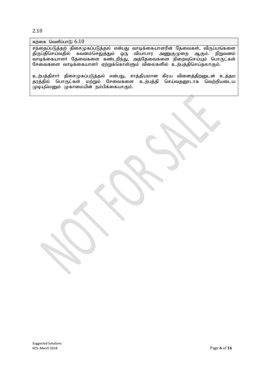#### 2.10

## கற்கை வெளிப்பாடு:  $6.10$

சந்தைப்படுத்தற் திசைமுகப்படுத்தல் என்பது வாடிக்கையாளரின் தேவைகள், விருப்பங்களை<br>திருப்திசெய்வதில் கவனம்செலுத்தும் ஒரு வியாபார அணுகுமுறை ஆகும். நிறுவனம் திருப்திசெய்வதில் கவனம்செலுத்தும் ஒரு வியாபார அணுகுமுறை ஆகும். thbf;ifahsh; Njitfis fz;lwpe ;J> mj;Njitfis epiwTnra;Ak; nghUl;fs ; சேவைகளை வாடிக்கையாளா் ஏற்றுக்கொள்ளும் விலைகளில் உற்பத்திசெய்தலாகும்.

உற்பத்திசாா் திசைமுகப்படுத்தல் என்பது, சாத்தியமான கிரய வினைத்திறனுடன் உத்தம தரத்தில் பொருட்கள் மற்றும் சேவைகளை உற்பத்தி செய்வதனூடாக வெற்றியடைய ் முடியுமெனும் முகாமையின் நம்பிக்கையாகும்.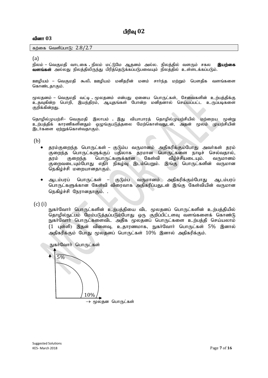கற்கை வெளிப்பாடு:  $2.8/2.7$ 

(a)

நிலம் – வெகுமதி வாடகை . நிலம் மட்டுமே ஆதனம் அல்ல. நிலத்தில் வளரும் சகல **இயற்கை** ்**வளங்கள்** அல்லது நிலத்திலிருந்து பிரித்தெடுக்கப்படுபவையும் நிலத்தில் உள்ளடக்கப்படும்.

ஊழியம் – வெகுமதி கூலி ஊழியம் மனிதரின் மனம் சார்ந்த மற்றும் பௌதிக வளங்களை கொண்டதாகும்.

மூலதனம் – வெகுமதி வட்டி . மூலதனம் என்பது ஏனைய பொருட்கள், சேவைகளின் உற்பத்திக்கு உதவுகின்ற பொறி, இயந்திரம், ஆயுதங்கள் போன்ற மனிதனால் செய்யப்பட்ட உருப்படிகளை குறிக்கின்றது.

தொழில்முயற்சி– வெகுமதி இலாபம் . இது வியாபாரத் தொழில்முயற்சியில் மற்றைய மூன்று உற்பத்திக் காரணிகளினதும் ஒழுங்குபடுத்தலை மேற்கொள்வதுடன், அதன் மூலம் முயற்சியின் இடர்களை ஏற்றுக்கொள்வதாகும்.

(b)

- தரம்குறைந்த பொருட்கள் குடும்ப வருமானம் அதிகரிக்கும்போது அவர்கள் தரம் குறைந்த பொருட்களுக்குப் பதிலாக தரமான பொருட்களை நாடிச் செல்வதால்,<br>தரம் குறைந்த பொருட்களுக்கான கேள்வி வீழ்ச்சியடையும். வருமானம் தரம் குறைந்த பொருட்களுக்கான கேள்வி வீழ்ச்சியடையும். வருமானம் சுறைவடையும்போது எதிர் நிகழ்வு இடம்பெறும். இங்கு பொருட்களின் வருமான நெகிழ்ச்சி மறையானதாகும்.
- ஆடம்பரப் பொருட்கள் குடும்ப வருமானம் அகிகரிக்கும்போது ஆடம்பரப் பொருட்களுக்கான கேள்வி விரைவாக அதிகரிப்பதுடன் இங்கு கேள்வியின் வருமான நெகிழ்ச்சி நேரானதாகும். .

(c) (i)

நுகர்வோர் பொருட்களின் உற்பத்தியை விட மூலதனப் பொருட்களின் உற்பத்தியில் .<br>தொழில்நுட்பம் மேம்படுத்தப்படும்போது ஒரு குறிப்பிட்டளவு வளங்களைக் கொண்டு நுகர்வோர் பொருட்களைவிட அகிக மூலகனப் பொருட்களை உற்பக்கி செய்யலாம்  $(1$  புள்ளி) இதன் விளைவு, உதாரணமாக, நுகர்வோர் பொருட்கள்  $5\%$  இனால் அதிகரிக்கும் போது மூலதனப் பொருட்கள்  $10\%$  இனால் அதிகரிக்கும்.

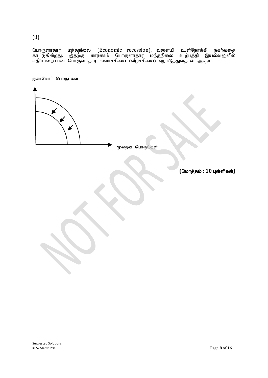(ii)

பொருளாதார மந்தநிலை (Economic recession), வளையி உள்நோக்கி நகர்வதை காட்டுகின்றது. இதற்கு காரணம் பொருளாதார மந்தநிலை உற்பத்தி இயல்வலுவில் எதிர்மறையான பொருளாதார வளர்ச்சியை (வீழ்ச்சியை) ஏற்படுத்துவதால் ஆகும்.

நுகர்வோர் பொருட்கள்

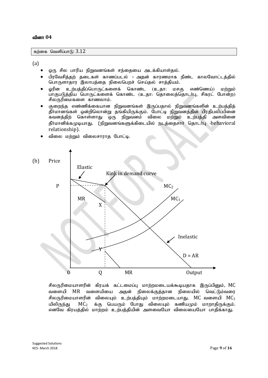கற்கை வெளிப்பாடு:  $3.12$ 

(a)

- ஒரு சில பாரிய நிறுவனங்கள் சந்தையை அடக்கியாள்தல்.
- பிரவேசித்தற் தடைகள் காணப்படல் அதன் காரணமாக நீண்ட காலவோட்டக்கில் பொருளாதார இலாபத்தை நிலைபெறச் செய்தல் சாத்தியம்.
- ஓரின உற்பத்திப்பொருட்களைக் கொண்ட (உதா: மசகு எண்ணெய்) மற்றும் பாகுபடுத்திய பொருட்களைக் கொண்ட (உதா: தொலைத்தொடர்பு, சிகரட் போன்ற) சிலருரிமைகளை காணலாம்.
- குறைந்த எண்ணிக்கையான நிறுவனங்கள் இருப்பதால் நிறுவனங்களின் உற்பத்தித் ்தீர்மானங்கள் ஒன்றிலொன்று தங்கியிருக்கும். போட்டி நிறுவனத்தின் பிரதிபலிப்பினை கவனத்திற் கொள்ளாது ஒரு நிறுவனம் விலை மற்றும் உற்பத்தி அளவினை தீர்மானிக்கமுடியாது. (நிறுவனங்களுக்கிடையில் நடத்தைசார் தொடர்பு -behavioral relationship).
- விலை மற்றும் விலைசாராத போட்டி.



சிலருரிமையாளரின் கிரயக் கட்டமைப்பு மாற்றமடையக்கூடியதாக இருப்பினும், MC வளையி MR வளையியை அதன் நிலைக்குத்தான நிலையில் வெட்டும்வரை சிலருரிமையாளரின் விலையும் உற்பக்கியும் மாற்றமடையாகுட  $MC$  வளையி  $MC_1$ யிலிருந்து  $MC<sub>2</sub>$  க்கு பெயரும் போது விலையும் கணியமும் மாறாதிருக்கும். எனவே கிரயத்தில் மாற்றம் உற்பத்தியின் அளவையோ விலையையோ பாதிக்காது.

Suggested Solutions KE5- March 2018 Page **9** of **16**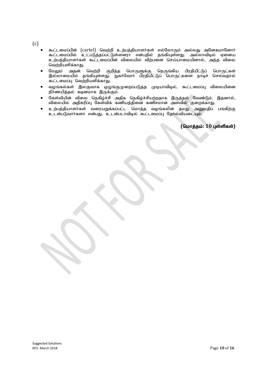$(c)$ 

- கூட்டமைப்பின் (cartel) வெற்றி உற்பத்தியாளர்கள் எல்லோரும் அல்லது அனேகமானோர் கூட்டமைப்பில் உட்படுத்தப்பட்டுள்ளனரா என்பதில் தங்கியுள்ளது. அல்லாவிடில் ஏனைய உற்பத்தியாளர்கள் கூட்டமைப்பின் விலையில் விற்பனை செய்யாமையினால், அந்த விலை வெற்றியளிக்காது.
- மேலும் அதன் வெற்றி குறித்த பொருளுக்கு நெருங்கிய பிரதியீட்டுப் பொருட்கள் இல்லாமையில் தங்கியுள்ளது. நுகர்வோர் பிரதியீட்டுப் பொருட்களை நாடிச் செல்வதால் கூட்டமைப்பு வெற்றியளிக்காது.
- வழங்கல்கள் இலகுவாக ஒழுங்குமுறைப்படுத்த முடியாவிடில், கூட்டமைப்பு விலையினை நிர்ணயித்தல் கடினமாக இருக்கும்.
- கேள்வியின் விலை நெகிழ்ச்சி அதிக நெகிழ்ச்சியற்றதாக இருத்தல் வேண்டும். இதனால், விலையில் அதிகரிப்பு கேள்விக் கணியத்தினை கணிசமான அளவில் குறைக்காது.
- $\bullet$  உற்பத்தியாளர்கள் வரையறுக்கப்பட்ட மொத்த வழங்கலின் தமது அனுமதிப் பங்கிற்கு உடன்படுவார்களா என்பது. உடன்படாவிடில் கூட்டமைப்பு தோல்வியடையும்.

 $($ மொத்தம்: 10 புள்ளிகள்)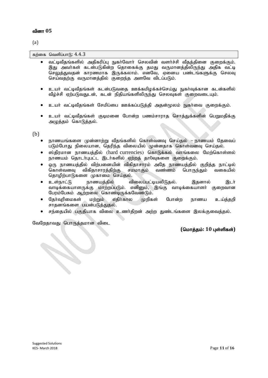(a)

கற்கை வெளிப்பா $f$ :  $4.4.3$ 

- வட்டிவீதங்களில் அதிகரிப்பு நுகர்வோர் செலவின் வளர்ச்சி வீதத்தினை குறைக்கும். இது அவர்கள் கடன்படுகின்ற தொகைக்கு தமது வருமானத்திலிருந்து அதிக வட்டி செலுக்குவகன் காரணமாக இருக்கலாம். எனவே, எனைய பண்டங்களுக்கு செலவு செய்வதற்கு வருமானத்தில் குறைந்த அளவே விடப்படும்.
- உயர் வட்டிவீதங்கள் கடன்படுவதை ஊக்கமிழக்கச்செய்து நுகர்வுக்கான கடன்களில் வீழ்ச்சி ஏற்படுவதுடன், கடன் நிதியங்களிலிருந்து செலவுகள் குறைவடையும்.
- உயர் வட்டிவீதங்கள் சேமிப்பை ஊக்கப்படுத்தி அதன்மூலம் நுகர்வை குறைக்கும்.
- உயர் வட்டிவீகங்கள் குடிமனை போன்ற பணம்சாராக சொக்குக்களின் பெறுமகிக்கு அழுத்தம் கொடுத்தல்.

(b)

- நாணயங்களை முன்னாற்று வீதங்களில் கொள்வனவு செய்தல் நாணயம் தேவைப் படும்போது நிலையான, தெரிந்த விலையில் முன்னதாக கொள்வனவு செய்தல்.
- $\bullet$  ஸ்திரமான நாணயத்தில் (hard currencies) கொடுக்கல் வாங்கலை மேற்கொள்ளல் நாணயம் தொடாபுபட்ட இடா்களில் ஏற்றத் தா0்வுகளை குறைக்கும்.
- v ஒரு நாணயத்தில் விற்பனையின் விகிதாசாரம் அதே நாணயத்தில் குறித்த நாட்டில்<br>கொள்வனவு விகிதாசாரத்திற்கு சமமாகும் வண்ணம் பொருந்தும் வகையில் கொள்வனவு விகிதாசாரத்திற்கு தொழிற்பாடுகளை முகாமை செய்தல்.
- உள்நாட்டு நாணயத்தில் விலைப்பட்டியலிடுதல். இதனால் இடர் வாடிக்கையாளருக்கு மாற்றப்படும். எனினும், இங்கு வாடிக்கையாளர் குறைவான பேரம்பேசும் ஆற்றலை கொண்டிருக்கவேண்டும்.
- தேர்வுரிமைகள் மற்றும் எதிர்கால முறிகள் போன்ற நாணய உய்த்தறி சாதனங்களை பயன்படுத்துதல்.
- சந்தையில் பகுதியாக விலை உணர்திறன் அற்ற துண்டங்களை இலக்குவைத்தல்.

வேறேதாவது பொருத்தமான விடை

 $($ மொக்கம்: 10 பள்ளிகள்)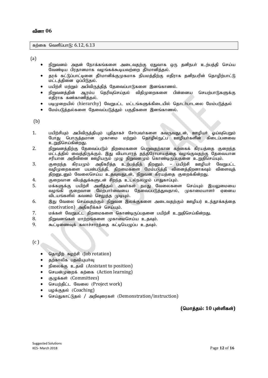#### கற்கை வெளிப்பாடு:  $6.12, 6.13$

(a)

- நிறுவனம் அதன் நோக்கங்களை அடைவதற்கு ஏதுவாக ஒரு தனிநபா் உற்பத்தி செய்ய  $\tilde{g}$ வண்டிய பிரதானமாக வழங்கக்கூடியவற்றை தீர்மானித்தல்.
- தரக் கட்டுப்பாட்டினை தீா்மானிக்குமுகமாக நியமத்திற்கு எதிராக தனிநபரின் தொழிற்பாட்டு மட்டத்தினை ஒப்பிடுதல்.
- பயிற்சி மற்றும் அபிவிருத்தித் தேவைப்பாடுகளை இனங்காணல்.
- நிறுவனத்தின் ஆரம்ப தெரிவுசெய்தல் விதிமுறைகளை பின்னைய செயற்பாடுகளுக்கு எதிராக கண்காணித்தல்.
- படிமுறையில் (hierarchy) வேறுபட்ட மட்டங்களுக்கிடையில் தொடர்பாடலை மேம்படுத்தல்
- மேம்படுத்தல்களை தேவைப்படுத்தும் பகுதிகளை இனங்காணல்.

(b)

- 1. gapw;rpAk; mgptpUj;jpAk; Gjpjhfr; Nrh;gth;fis ftUtJld;> Copah; Xa;TngWk; போது பொருத்தமான முகாமை மற்றும் தொழில்நுட்ப ஊழியாகளின் கிடைப்பனவை உறுதிசெய்கின்றது.
- 2. நிறுவனத்திற்கு தேவைப்படும் திறமைகளை பெறுவதற்கான கற்கைக் கிரயத்தை குறைந்த மட்டத்தில் வைத்திருக்கும். இது வியாபாரத் தந்திரோபாயத்தை வழங்குவதற்கு தேவையான சரியான அறிவினை ஊழியரும் முழு நிறுவனமும் கொண்டிருப்பதனை உறுதிசெய்யும்.
- 3. குறைந்த கிரயமும் அதிகரித்த உற்பத்தித் திறனும். பயிற்சி ஊழியா் வேறுபட்ட வழிமுறைகளை பயன்படுத்தி, திறமைகளை மேம்படுத்தி வினைத்திறனாகவும் விளைவுத் திறனுடனும் வேலைசெய்ய உதவுவதுடன், நிறுவன கிரயத்தை குறைக்கின்றது.
- 4. சுறைவான விபத்துக்களுடன் சிறந்த உடல்நலமும் பாதுகாப்பும்.
- 5. மக்களுக்கு பயிற்சி அளித்தல் அவர்கள் தமது வேலைகளை செய்யும் இயலுமையை<br>வழங்கி குறைவான மேற்பார்வையை தேவைப்படுத்துவதால். முகாமையாளர் எனைய ்குறைவான மேற்பார்வையை தேவைப்படுத்துவதால், முகாமையாளர் விடயங்களில் கவனம் செலுத்த முடியும்.
- 6. இது வேலை செய்வதற்கும் நிறுவன இலக்குகளை அடைவதற்கும் ஊழியர் உந்தூக்கத்தை (motivation) அதிகரிக்கச் செய்யும்.
- 7. kf;fs ; NtWgl;l jpwikfis nfhz;bUg;gjid gapw;rp cWjpnra;fpd;wJ.
- $6\text{m}$ வனங்கள் மாற்றங்களை முகாமைசெய்ய உதவும்.
- 9. கூட்டிணைவுக் கலாச்சாரத்தை கட்டியெழுப்ப உதவும்.

 $(c)$ 

- தொழிற் சுழற்சி (Job rotation)
- $\bullet$  தற்காலிக பகவியயாவ
- நிலைக்கு உதவி (Assistant to position)
- செயன்முறைக் கற்கை (Action learning)
- குழுக்கள் (Committees)
- செயற்திட்ட வேலை (Project work)
- பழக்குதல் (Coaching)
- செய்துகாட்டுதல் / அறிவுரைகள் (Demonstration/instruction)

 $($ மொத்தம்: 10 புள்ளிகள்)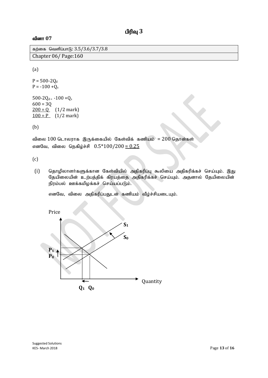கற்கை வெளிப்பாடு:  $3.5/3.6/3.7/3.8$ Chapter 06/ Page:160

(a)

 $P = 500 - 2Q_d$  $P = -100 + Q_s$ 500-2 $Q_d = -100 + Q_s$  $600 = 3Q$  $200 = Q$  (1/2 mark)  $100 = P$  (1/2 mark)

(b)

விலை  $100$  டொலராக இருக்கையில் கேள்விக் கணியம் =  $200$  தொன்கள் எனவே, விலை நெகிழ்ச்சி  $0.5*100/200 = 0.25$ 

(c)

(i) தொழிலாளர்களுக்கான கேள்வியில் அதிகரிப்பு கூலியை அதிகரிக்கச் செய்யும். இது தேயிலையின் உற்பத்திக் கிரயத்தை அதிகரிக்கச் செய்யும். அதனால் தேயிலையின் நிரம்பல் ஊக்கமிழக்கச் செய்யப்படும்.

எனவே, விலை அதிகரிப்பதுடன் கணியம் வீழ்ச்சியடையும்.

Price

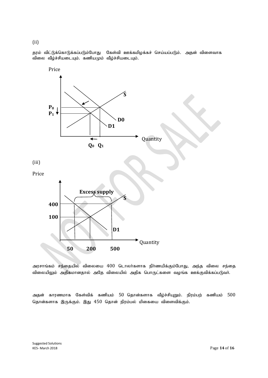தரம் விட்டுக்கொடுக்கப்படும்போது கேள்வி ஊக்கமிழக்கச் செய்யப்படும். அதன் விளைவாக விலை வீழ்ச்சியடையும். கணியமும் வீழ்ச்சியடையும்.



அரசாங்கம் சந்தையில் விலையை 400 டொலர்களாக நிர்ணயிக்கும்போது, அந்த விலை சந்தை விலையிலும் அதிகமானதால் அதே விலையில் அதிக பொருட்களை வழங்க ஊக்குவிக்கப்படுவா்.

அதன் காரணமாக கேள்விக் கணியம் 50 தொன்களாக வீழ்ச்சியுறும். நிரம்பற் கணியம் 500 தொன்களாக இருக்கும். இது 450 தொன் நிரம்பல் மிகையை விளைவிக்கும்.

(ii)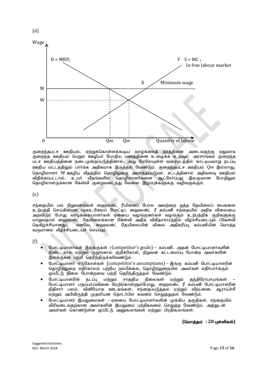

குறைந்தபட்ச ஊதியம், ஏற்றுக்கொள்ளக்கூடிய வாழ்க்கைத் தரத்தினை அடைவதற்கு ஏதுவாக குறைந்த ஊதியம் பெறும் ஊழியா் போதிய பணத்தினை உழைக்க உதவும். அரசாங்கம் குறைந்த பட்ச ஊதியத்தினை நடைமுறைப்படுத்தினால், அது மேலேயுள்ள வரைபடத்தில் காட்டியவாறு நடப்பு ஊதிய மட்டத்திலும் பார்க்க அதிகமாக இருத்தல் வேண்டும். குறைந்தபட்ச ஊதியம் Qw இல்லாது, தொழிலாளா் W ஊழிய வீதத்தில் தொழிலுக்கு அமா்த்தப்படுவா். சட்டத்தினால் அதிகளவு ஊதியம் ்விதிக்கப்பட்டால், உயா வீதங்களில் தொழிலாளாகளை ஆட்சோப்பது இலகுவான போதிலும் தொழிலாளருக்கான கேள்வி குறைவடைந்து வேலை இழப்புக்களுக்கு வழிவகுக்கும்.

(e)

(d)

சந்தையில் பல நிறுவனங்கள் ஹைலன்ட் ரீயினைப் போல அவற்றை ஒக்க கேயிலைப் பைகளை உற்பத்தி செய்கின்றன (ஏகஉரிமைப் போட்டி). ஹைலன்ட் ரீ கம்பனி சந்தையில் அதிக விலையை அறவிடும் போது வாடிக்கையாளர்கள் ஏனைய வழங்குனர்கள் வழங்கும் உற்பத்திக் குறிகளுக்கு மாறுவதால் ஹைலன்ட் தேயிலைக்கான கேள்வி அதிக விகிதாசாரத்தில் வீழ்ச்சியடையும் (கேள்வி<br>நெகிம்ச்சியானது). எனவே, ஹைலன்ட் தேயிலையின் விலை அதிகரிப்பு கம்பனியின் மொத்த எனவே, ஹைலன்ட் தேயிலையின் விலை அதிகரிப்பு கம்பனியின் மொத்த வருமானம் வீழ்ச்சியடையச் செய்யும்.

(f)

- போட்டியாளர்கள் இலக்குகள் (Competitor's goals) கம்பனி, அதன் போட்டியாளர்களின் நீண்ட கால மற்றும் குறுங்கால குறிக்கோள், நிறுவன கட்டமைப்பு போன்ற அவர்களின் இலக்குகள் பற்றி தெரிந்திருக்கவேண்டும்.
- போட்டியாளர் எடுகோள்கள் (competitor's assumptions) இங்கு கம்பனி போட்டியாளரின் கொழிற்குறை எதிர்காலம் பற்றிய நம்பிக்கை, தொழிற்குறையில் அவர்கள் எதிர்பார்க்கும்  $\tilde{\omega}$ ப்பீட்டு நிலை போன்றவை பற்றி கெரிந்திருக்கல் வேண்டும்.
- $\bullet$  போட்டியாளரின் நடப்பு மற்றும் சாத்திய நிலைகள் மற்றும் தந்திரோபாயங்கள் போட்டியாளா் பகுப்பாய்வினை மேற்கொள்ளும்போது, ஹைலன்ட் ரீ கம்பனி போட்டியாளரின் நிதிசாா் பலம், வினியோக ஊடகங்கள், சந்தைப்படுத்தல் மற்றும் விற்பனை, ஆராய்ச்சி மற்றும் அபிவிருத்தி முதலியன தொடர்பில் கவனம் செலுத்துதல் வேண்டும்.
- போட்டியாளர் இயலுமைகள் ஏனைய போட்டியாளர்களின் முக்கிய தகுதிகள், சந்தையில் விரிவடைவதற்கான அவா்களின் இயலுமை பற்றிகவனம் செலுத்த வேண்டும். அத்துடன் அவர்கள் கொண்டுள்ள ஒப்பீட்டு அனுகூலங்கள் மற்றும் பிரதிகூலங்கள்.

 $($ மொத்தம் : 20 புள்ளிகள்)